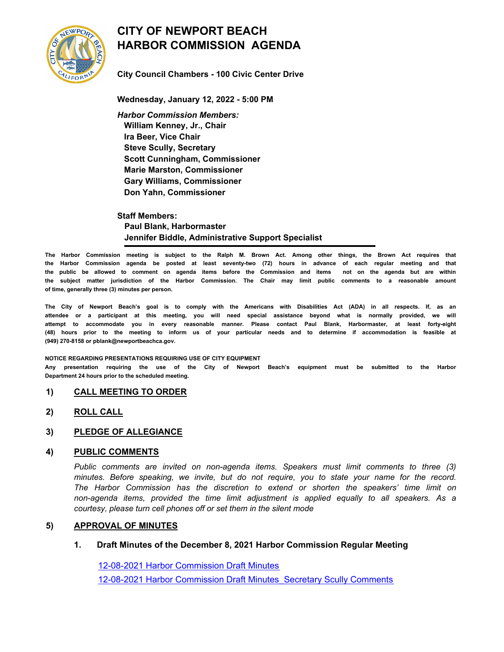

# **CITY OF NEWPORT BEACH HARBOR COMMISSION AGENDA**

**City Council Chambers - 100 Civic Center Drive**

**Wednesday, January 12, 2022 - 5:00 PM** *Harbor Commission Members:*  **William Kenney, Jr., Chair Ira Beer, Vice Chair Steve Scully, Secretary Scott Cunningham, Commissioner Marie Marston, Commissioner Gary Williams, Commissioner Don Yahn, Commissioner**

**Staff Members: Paul Blank, Harbormaster Jennifer Biddle, Administrative Support Specialist**

**The Harbor Commission meeting is subject to the Ralph M. Brown Act. Among other things, the Brown Act requires that the Harbor Commission agenda be posted at least seventy-two (72) hours in advance of each regular meeting and that the public be allowed to comment on agenda items before the Commission and items not on the agenda but are within the subject matter jurisdiction of the Harbor Commission. The Chair may limit public comments to a reasonable amount of time, generally three (3) minutes per person.**

**The City of Newport Beach's goal is to comply with the Americans with Disabilities Act (ADA) in all respects. If, as an attendee or a participant at this meeting, you will need special assistance beyond what is normally provided, we will attempt to accommodate you in every reasonable manner. Please contact Paul Blank, Harbormaster, at least forty-eight (48) hours prior to the meeting to inform us of your particular needs and to determine if accommodation is feasible at (949) 270-8158 or pblank@newportbeachca.gov.**

#### **NOTICE REGARDING PRESENTATIONS REQUIRING USE OF CITY EQUIPMENT**

**Any presentation requiring the use of the City of Newport Beach's equipment must be submitted to the Harbor Department 24 hours prior to the scheduled meeting.**

# **1) CALL MEETING TO ORDER**

**2) ROLL CALL**

# **3) PLEDGE OF ALLEGIANCE**

# **4) PUBLIC COMMENTS**

*Public comments are invited on non-agenda items. Speakers must limit comments to three (3) minutes. Before speaking, we invite, but do not require, you to state your name for the record. The Harbor Commission has the discretion to extend or shorten the speakers' time limit on non-agenda items, provided the time limit adjustment is applied equally to all speakers. As a courtesy, please turn cell phones off or set them in the silent mode*

# **5) APPROVAL OF MINUTES**

# **1. Draft Minutes of the December 8, 2021 Harbor Commission Regular Meeting**

[12-08-2021 Harbor Commission Draft Minutes](http://newportbeach.legistar.com/gateway.aspx?M=F&ID=f59d212f-d91b-4143-af80-8a18eb9704c5.docx) [12-08-2021 Harbor Commission Draft Minutes\\_Secretary Scully Comments](http://newportbeach.legistar.com/gateway.aspx?M=F&ID=594716e9-5c9c-466b-a1df-5c55916398c1.pdf)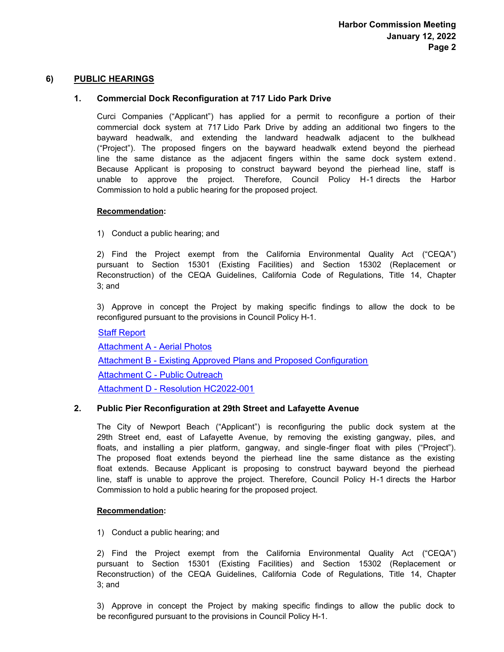# **6) PUBLIC HEARINGS**

# **1. Commercial Dock Reconfiguration at 717 Lido Park Drive**

Curci Companies ("Applicant") has applied for a permit to reconfigure a portion of their commercial dock system at 717 Lido Park Drive by adding an additional two fingers to the bayward headwalk, and extending the landward headwalk adjacent to the bulkhead ("Project"). The proposed fingers on the bayward headwalk extend beyond the pierhead line the same distance as the adjacent fingers within the same dock system extend . Because Applicant is proposing to construct bayward beyond the pierhead line, staff is unable to approve the project. Therefore, Council Policy H-1 directs the Harbor Commission to hold a public hearing for the proposed project.

# **Recommendation:**

1) Conduct a public hearing; and

2) Find the Project exempt from the California Environmental Quality Act ("CEQA") pursuant to Section 15301 (Existing Facilities) and Section 15302 (Replacement or Reconstruction) of the CEQA Guidelines, California Code of Regulations, Title 14, Chapter 3; and

3) Approve in concept the Project by making specific findings to allow the dock to be reconfigured pursuant to the provisions in Council Policy H-1.

[Staff Report](http://newportbeach.legistar.com/gateway.aspx?M=F&ID=81116cb9-ffc3-4d23-bd9d-a0a27b966ed2.docx) [Attachment A - Aerial Photos](http://newportbeach.legistar.com/gateway.aspx?M=F&ID=f29835d8-df69-4833-bc39-9c81a575b94b.pdf) [Attachment B - Existing Approved Plans and Proposed Configuration](http://newportbeach.legistar.com/gateway.aspx?M=F&ID=e2d94b1e-a154-4fd9-aac0-186731bdef60.pdf) [Attachment C - Public Outreach](http://newportbeach.legistar.com/gateway.aspx?M=F&ID=b6e51fec-e121-43c8-8ce2-905354fa18e7.pdf) [Attachment D - Resolution HC2022-001](http://newportbeach.legistar.com/gateway.aspx?M=F&ID=98fb6f1a-3811-472b-ba7f-29b14bd0ea17.pdf)

# **2. Public Pier Reconfiguration at 29th Street and Lafayette Avenue**

The City of Newport Beach ("Applicant") is reconfiguring the public dock system at the 29th Street end, east of Lafayette Avenue, by removing the existing gangway, piles, and floats, and installing a pier platform, gangway, and single-finger float with piles ("Project"). The proposed float extends beyond the pierhead line the same distance as the existing float extends. Because Applicant is proposing to construct bayward beyond the pierhead line, staff is unable to approve the project. Therefore, Council Policy H-1 directs the Harbor Commission to hold a public hearing for the proposed project.

# **Recommendation:**

1) Conduct a public hearing; and

2) Find the Project exempt from the California Environmental Quality Act ("CEQA") pursuant to Section 15301 (Existing Facilities) and Section 15302 (Replacement or Reconstruction) of the CEQA Guidelines, California Code of Regulations, Title 14, Chapter 3; and

3) Approve in concept the Project by making specific findings to allow the public dock to be reconfigured pursuant to the provisions in Council Policy H-1.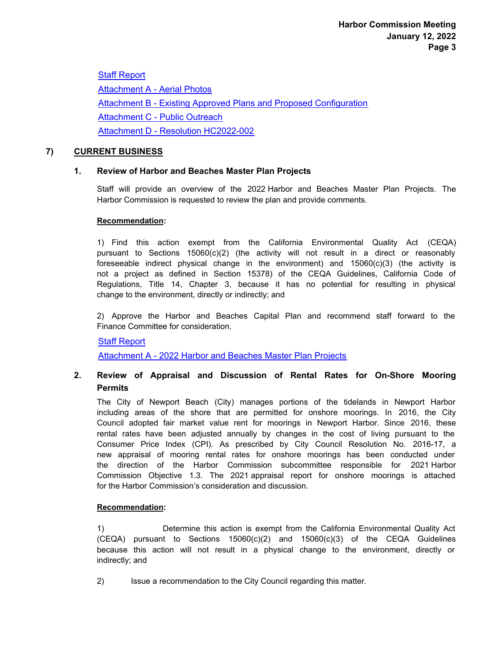[Staff Report](http://newportbeach.legistar.com/gateway.aspx?M=F&ID=5b54c2ba-49b9-45a0-b71a-20adff73afa2.docx) [Attachment A - Aerial Photos](http://newportbeach.legistar.com/gateway.aspx?M=F&ID=3001e2d8-a571-41b0-9814-cc515f11537e.pdf) [Attachment B - Existing Approved Plans and Proposed Configuration](http://newportbeach.legistar.com/gateway.aspx?M=F&ID=e10c089b-60bc-4c8c-af0a-6b8f9e1d1663.pdf) [Attachment C - Public Outreach](http://newportbeach.legistar.com/gateway.aspx?M=F&ID=aa3053a4-baf0-41c7-afd8-f2790a79aa19.pdf) [Attachment D - Resolution HC2022-002](http://newportbeach.legistar.com/gateway.aspx?M=F&ID=13ad0e58-3144-4a1b-8a1d-dfd6af9d292d.pdf)

# **7) CURRENT BUSINESS**

# **1. Review of Harbor and Beaches Master Plan Projects**

Staff will provide an overview of the 2022 Harbor and Beaches Master Plan Projects. The Harbor Commission is requested to review the plan and provide comments.

# **Recommendation:**

1) Find this action exempt from the California Environmental Quality Act (CEQA) pursuant to Sections  $15060(c)(2)$  (the activity will not result in a direct or reasonably foreseeable indirect physical change in the environment) and  $15060(c)(3)$  (the activity is not a project as defined in Section 15378) of the CEQA Guidelines, California Code of Regulations, Title 14, Chapter 3, because it has no potential for resulting in physical change to the environment, directly or indirectly; and

2) Approve the Harbor and Beaches Capital Plan and recommend staff forward to the Finance Committee for consideration.

# [Staff Report](http://newportbeach.legistar.com/gateway.aspx?M=F&ID=70f83c0c-c5bf-4eba-b9f0-9d926ae46bf3.docx)

[Attachment A - 2022 Harbor and Beaches Master Plan Projects](http://newportbeach.legistar.com/gateway.aspx?M=F&ID=1f8410e7-a501-4dad-b2ab-666c01dd6e6c.pdf)

#### **Review of Appraisal and Discussion of Rental Rates for On-Shore Mooring Permits 2.**

The City of Newport Beach (City) manages portions of the tidelands in Newport Harbor including areas of the shore that are permitted for onshore moorings. In 2016, the City Council adopted fair market value rent for moorings in Newport Harbor. Since 2016, these rental rates have been adjusted annually by changes in the cost of living pursuant to the Consumer Price Index (CPI). As prescribed by City Council Resolution No. 2016-17, a new appraisal of mooring rental rates for onshore moorings has been conducted under the direction of the Harbor Commission subcommittee responsible for 2021 Harbor Commission Objective 1.3. The 2021 appraisal report for onshore moorings is attached for the Harbor Commission's consideration and discussion.

# **Recommendation:**

1) Determine this action is exempt from the California Environmental Quality Act  $(CEQA)$  pursuant to Sections 15060 $(c)(2)$  and 15060 $(c)(3)$  of the CEQA Guidelines because this action will not result in a physical change to the environment, directly or indirectly; and

2) Issue a recommendation to the City Council regarding this matter.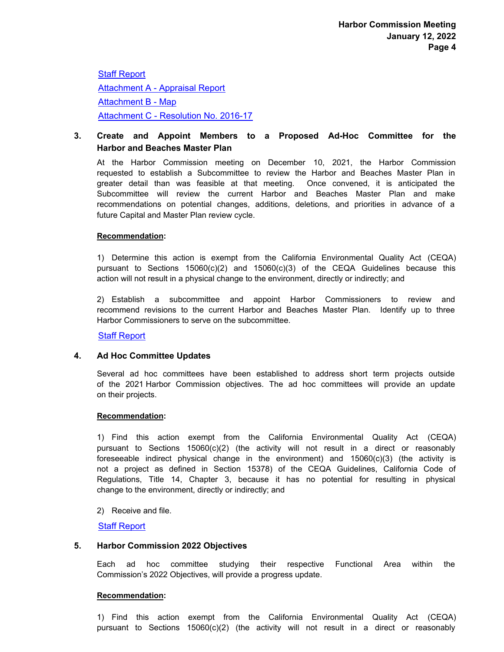[Staff Report](http://newportbeach.legistar.com/gateway.aspx?M=F&ID=ce9e96b1-0585-4259-9ac0-bca4ba17a761.docx) [Attachment A - Appraisal Report](http://newportbeach.legistar.com/gateway.aspx?M=F&ID=4b127af7-f23c-4fbc-a89c-8b75062d1772.pdf) [Attachment B - Map](http://newportbeach.legistar.com/gateway.aspx?M=F&ID=a99b4e04-19d9-4ea0-87a4-1b5b8957308f.pdf) [Attachment C - Resolution No. 2016-17](http://newportbeach.legistar.com/gateway.aspx?M=F&ID=f6953e5a-0445-4709-8b32-0ae16e02b378.pdf)

#### **Create and Appoint Members to a Proposed Ad-Hoc Committee for the Harbor and Beaches Master Plan 3.**

At the Harbor Commission meeting on December 10, 2021, the Harbor Commission requested to establish a Subcommittee to review the Harbor and Beaches Master Plan in greater detail than was feasible at that meeting. Once convened, it is anticipated the Subcommittee will review the current Harbor and Beaches Master Plan and make recommendations on potential changes, additions, deletions, and priorities in advance of a future Capital and Master Plan review cycle.

# **Recommendation:**

1) Determine this action is exempt from the California Environmental Quality Act (CEQA) pursuant to Sections  $15060(c)(2)$  and  $15060(c)(3)$  of the CEQA Guidelines because this action will not result in a physical change to the environment, directly or indirectly; and

2) Establish a subcommittee and appoint Harbor Commissioners to review and recommend revisions to the current Harbor and Beaches Master Plan. Identify up to three Harbor Commissioners to serve on the subcommittee.

[Staff Report](http://newportbeach.legistar.com/gateway.aspx?M=F&ID=ac7556d3-b566-45a2-9092-9e21f18316c3.docx)

# **4. Ad Hoc Committee Updates**

Several ad hoc committees have been established to address short term projects outside of the 2021 Harbor Commission objectives. The ad hoc committees will provide an update on their projects.

# **Recommendation:**

1) Find this action exempt from the California Environmental Quality Act (CEQA) pursuant to Sections  $15060(c)(2)$  (the activity will not result in a direct or reasonably foreseeable indirect physical change in the environment) and  $15060(c)(3)$  (the activity is not a project as defined in Section 15378) of the CEQA Guidelines, California Code of Regulations, Title 14, Chapter 3, because it has no potential for resulting in physical change to the environment, directly or indirectly; and

# 2) Receive and file.

# [Staff Report](http://newportbeach.legistar.com/gateway.aspx?M=F&ID=d4920622-9bcf-4e1a-b5fc-5da7ed711b73.docx)

# **5. Harbor Commission 2022 Objectives**

Each ad hoc committee studying their respective Functional Area within the Commission's 2022 Objectives, will provide a progress update.

# **Recommendation:**

1) Find this action exempt from the California Environmental Quality Act (CEQA) pursuant to Sections  $15060(c)(2)$  (the activity will not result in a direct or reasonably